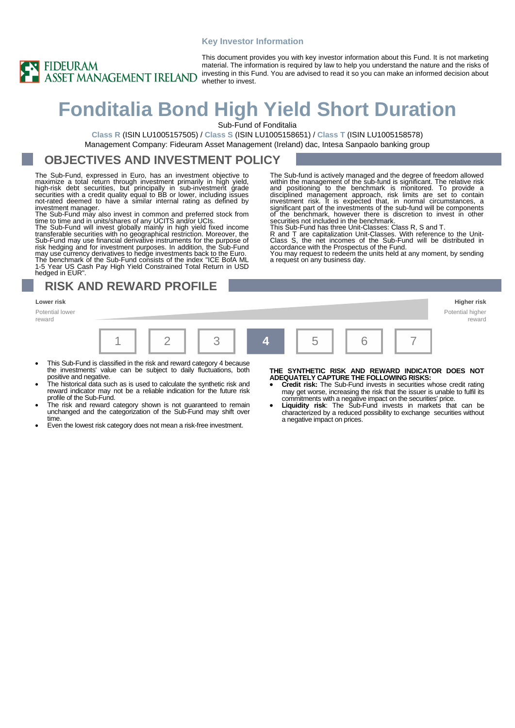#### **Key Investor Information**



This document provides you with key investor information about this Fund. It is not marketing material. The information is required by law to help you understand the nature and the risks of investing in this Fund. You are advised to read it so you can make an informed decision about whether to invest.

# **Fonditalia Bond High Yield Short Duration**

Sub-Fund of Fonditalia

**Class R** (ISIN LU1005157505) / **Class S** (ISIN LU1005158651) / **Class T** (ISIN LU1005158578) Management Company: Fideuram Asset Management (Ireland) dac, Intesa Sanpaolo banking group

#### **OBJECTIVES AND INVESTMENT POLICY**

The Sub-Fund, expressed in Euro, has an investment objective to maximize a total return through investment primarily in high yield,<br>high-risk debt securities, but principally in sub-investment grade<br>securities with a credit quality equal to BB or lower, including issues<br>not-rated deeme investment manager.

The Sub-Fund may also invest in common and preferred stock from time to time and in units/shares of any UCITS and/or UCIs.

The Sub-Fund will invest globally mainly in high yield fixed income transferable securities with no geographical restriction. Moreover, the Sub-Fund may use financial derivative instruments for the purpose of risk hedging and for investment purposes. In addition, the Sub-Fund may use currency derivatives to hedge investments back to the Euro. The benchmark of the Sub-Fund consists of the index "ICE BofA ML

1-5 Year US Cash Pay High Yield Constrained Total Return in USD hedged in EUR".

**RISK AND REWARD PROFILE**

Potential lower reward

|  | 3 4 5 6 |  | $6$ $\sqrt{7}$ |
|--|---------|--|----------------|

- This Sub-Fund is classified in the risk and reward category 4 because the investments' value can be subject to daily fluctuations, both positive and negative.
- The historical data such as is used to calculate the synthetic risk and reward indicator may not be a reliable indication for the future risk profile of the Sub-Fund.
- The risk and reward category shown is not guaranteed to remain unchanged and the categorization of the Sub-Fund may shift over time.
- Even the lowest risk category does not mean a risk-free investment.

#### **THE SYNTHETIC RISK AND REWARD INDICATOR DOES NOT ADEQUATELY CAPTURE THE FOLLOWING RISKS:**

The Sub-fund is actively managed and the degree of freedom allowed within the management of the sub-fund is significant. The relative risk and positioning to the benchmark is monitored. To provide a disciplined management approach, risk limits are set to contain investment risk. It is expected that, in normal circumstances, a significant part of the investments of the sub-fund will be components of the benchmark, however there is discretion to invest in other securities not included in the benchmark.

R and T are capitalization Unit-Classes. With reference to the Unit-Class S, the net incomes of the Sub-Fund will be distributed in

You may request to redeem the units held at any moment, by sending

This Sub-Fund has three Unit-Classes: Class R, S and T.

accordance with the Prospectus of the Fund.

a request on any business day.

- **Credit risk:** The Sub-Fund invests in securities whose credit rating may get worse, increasing the risk that the issuer is unable to fulfil its commitments with a negative impact on the securities' price. • **Liquidity risk**: The Sub-Fund invests in markets that can be
- characterized by a reduced possibility to exchange securities without a negative impact on prices.

**Lower risk Higher risk** Potential higher reward